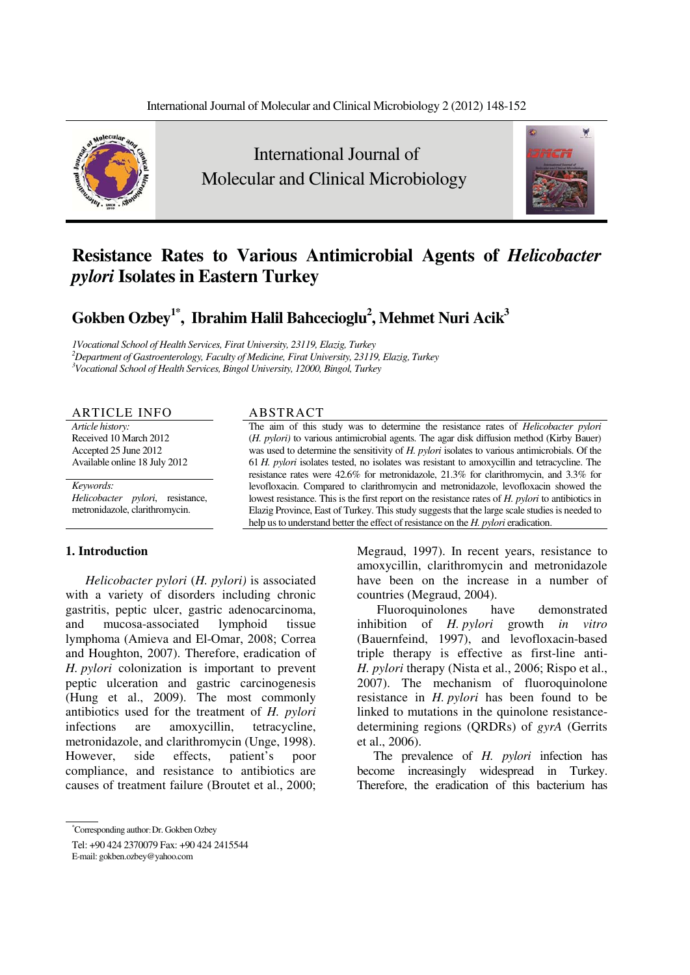

 International Journal of Molecular and Clinical Microbiology



# **Resistance Rates to Various Antimicrobial Agents of** *Helicobacter pylori* **Isolates in Eastern Turkey**

 ${\bf G}$ okben Ozbey<sup>1\*</sup>, Ibrahim Halil Bahcecioglu<sup>2</sup>, Mehmet Nuri Acik<sup>3</sup>

*1Vocational School of Health Services, Firat University, 23119, Elazig, Turkey <sup>2</sup> Department of Gastroenterology, Faculty of Medicine, Firat University, 23119, Elazig, Turkey 3 Vocational School of Health Services, Bingol University, 12000, Bingol, Turkey*

### ARTICLE INFO ABSTRACT

*Article history:*  Received 10 March 2012 Accepted 25 June 2012 Available online 18 July 2012

*Keywords: Helicobacter pylori*, resistance, metronidazole, clarithromycin.

# **1. Introduction**

*Helicobacter pylori* (*H. pylori)* is associated with a variety of disorders including chronic gastritis, peptic ulcer, gastric adenocarcinoma, and mucosa-associated lymphoid tissue lymphoma (Amieva and El-Omar, 2008; Correa and Houghton, 2007). Therefore, eradication of *H. pylori* colonization is important to prevent peptic ulceration and gastric carcinogenesis (Hung et al., 2009). The most commonly antibiotics used for the treatment of *H. pylori* infections are amoxycillin, tetracycline, metronidazole, and clarithromycin (Unge, 1998). However, side effects, patient's poor compliance, and resistance to antibiotics are causes of treatment failure (Broutet et al., 2000;

The aim of this study was to determine the resistance rates of *Helicobacter pylori*  (*H. pylori)* to various antimicrobial agents. The agar disk diffusion method (Kirby Bauer) was used to determine the sensitivity of *H. pylori* isolates to various antimicrobials. Of the 61 *H. pylori* isolates tested, no isolates was resistant to amoxycillin and tetracycline. The resistance rates were 42.6% for metronidazole, 21.3% for clarithromycin, and 3.3% for levofloxacin. Compared to clarithromycin and metronidazole, levofloxacin showed the lowest resistance. This is the first report on the resistance rates of *H. pylori* to antibiotics in Elazig Province, East of Turkey. This study suggests that the large scale studies is needed to help us to understand better the effect of resistance on the *H. pylori* eradication.

> Megraud, 1997). In recent years, resistance to amoxycillin, clarithromycin and metronidazole have been on the increase in a number of countries (Megraud, 2004).

> Fluoroquinolones have demonstrated inhibition of *H. pylori* growth *in vitro*  (Bauernfeind, 1997), and levofloxacin-based triple therapy is effective as first-line anti-*H. pylori* therapy (Nista et al., 2006; Rispo et al., 2007). The mechanism of fluoroquinolone resistance in *H. pylori* has been found to be linked to mutations in the quinolone resistancedetermining regions (QRDRs) of *gyrA* (Gerrits et al., 2006).

> The prevalence of *H. pylori* infection has become increasingly widespread in Turkey. Therefore, the eradication of this bacterium has

<sup>\*</sup> Corresponding author- Dr. Gokben Ozbey

Tel: +90 424 2370079 Fax: +90 424 2415544

E-mail: gokben.ozbey@yahoo.com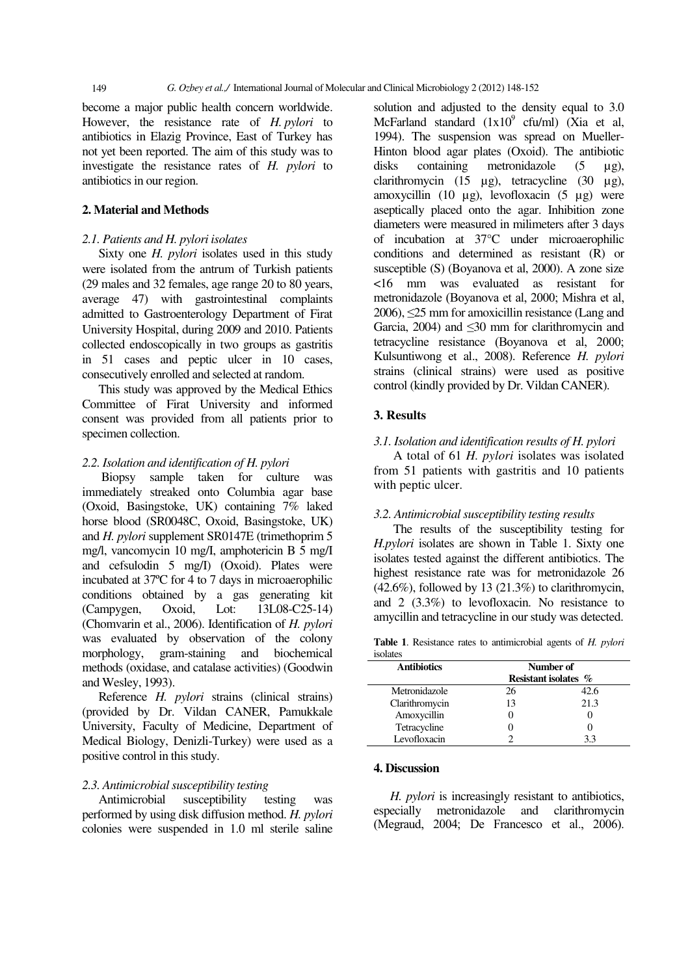become a major public health concern worldwide. However, the resistance rate of *H. pylori* to antibiotics in Elazig Province, East of Turkey has not yet been reported. The aim of this study was to investigate the resistance rates of *H. pylori* to antibiotics in our region.

# **2. Material and Methods**

# *2.1. Patients and H. pylori isolates*

Sixty one *H. pylori* isolates used in this study were isolated from the antrum of Turkish patients (29 males and 32 females, age range 20 to 80 years, average 47) with gastrointestinal complaints admitted to Gastroenterology Department of Firat University Hospital, during 2009 and 2010. Patients collected endoscopically in two groups as gastritis in 51 cases and peptic ulcer in 10 cases, consecutively enrolled and selected at random.

This study was approved by the Medical Ethics Committee of Firat University and informed consent was provided from all patients prior to specimen collection.

#### *2.2. Isolation and identification of H. pylori*

 Biopsy sample taken for culture was immediately streaked onto Columbia agar base (Oxoid, Basingstoke, UK) containing 7% laked horse blood (SR0048C, Oxoid, Basingstoke, UK) and *H. pylori* supplement SR0147E (trimethoprim 5 mg/l, vancomycin 10 mg/I, amphotericin B 5 mg/I and cefsulodin 5 mg/I) (Oxoid). Plates were incubated at 37ºC for 4 to 7 days in microaerophilic conditions obtained by a gas generating kit (Campygen, Oxoid, Lot: 13L08-C25-14) (Chomvarin et al., 2006). Identification of *H. pylori* was evaluated by observation of the colony morphology, gram-staining and biochemical methods (oxidase, and catalase activities) (Goodwin and Wesley, 1993).

Reference *H. pylori* strains (clinical strains) (provided by Dr. Vildan CANER, Pamukkale University, Faculty of Medicine, Department of Medical Biology, Denizli-Turkey) were used as a positive control in this study.

#### *2.3. Antimicrobial susceptibility testing*

Antimicrobial susceptibility testing was performed by using disk diffusion method. *H. pylori* colonies were suspended in 1.0 ml sterile saline

solution and adjusted to the density equal to 3.0 McFarland standard  $(1x10^9 \text{ cfu/ml})$  (Xia et al, 1994). The suspension was spread on Mueller-Hinton blood agar plates (Oxoid). The antibiotic disks containing metronidazole (5 μg), clarithromycin (15 μg), tetracycline (30 μg), amoxycillin (10 μg), levofloxacin (5 μg) were aseptically placed onto the agar. Inhibition zone diameters were measured in milimeters after 3 days of incubation at 37°C under microaerophilic conditions and determined as resistant (R) or susceptible (S) (Boyanova et al, 2000). A zone size <16 mm was evaluated as resistant for metronidazole (Boyanova et al, 2000; Mishra et al,  $2006$ ),  $\leq$ 25 mm for amoxicillin resistance (Lang and Garcia, 2004) and  $\leq 30$  mm for clarithromycin and tetracycline resistance (Boyanova et al, 2000; Kulsuntiwong et al., 2008). Reference *H. pylori* strains (clinical strains) were used as positive control (kindly provided by Dr. Vildan CANER).

# **3. Results**

#### *3.1. Isolation and identification results of H. pylori*

A total of 61 *H. pylori* isolates was isolated from 51 patients with gastritis and 10 patients with peptic ulcer.

# *3.2. Antimicrobial susceptibility testing results*

 The results of the susceptibility testing for *H.pylori* isolates are shown in Table 1. Sixty one isolates tested against the different antibiotics. The highest resistance rate was for metronidazole 26  $(42.6\%)$ , followed by 13  $(21.3\%)$  to clarithromycin, and 2 (3.3%) to levofloxacin. No resistance to amycillin and tetracycline in our study was detected.

**Table 1**. Resistance rates to antimicrobial agents of *H. pylori* isolates

| <b>Antibiotics</b> | Number of<br>Resistant isolates % |      |
|--------------------|-----------------------------------|------|
|                    |                                   |      |
| Metronidazole      | 26                                | 42.6 |
| Clarithromycin     | 13                                | 21.3 |
| Amoxycillin        |                                   |      |
| Tetracycline       |                                   |      |
| Levofloxacin       |                                   |      |

# **4. Discussion**

*H. pylori* is increasingly resistant to antibiotics, especially metronidazole and clarithromycin (Megraud, 2004; De Francesco et al., 2006).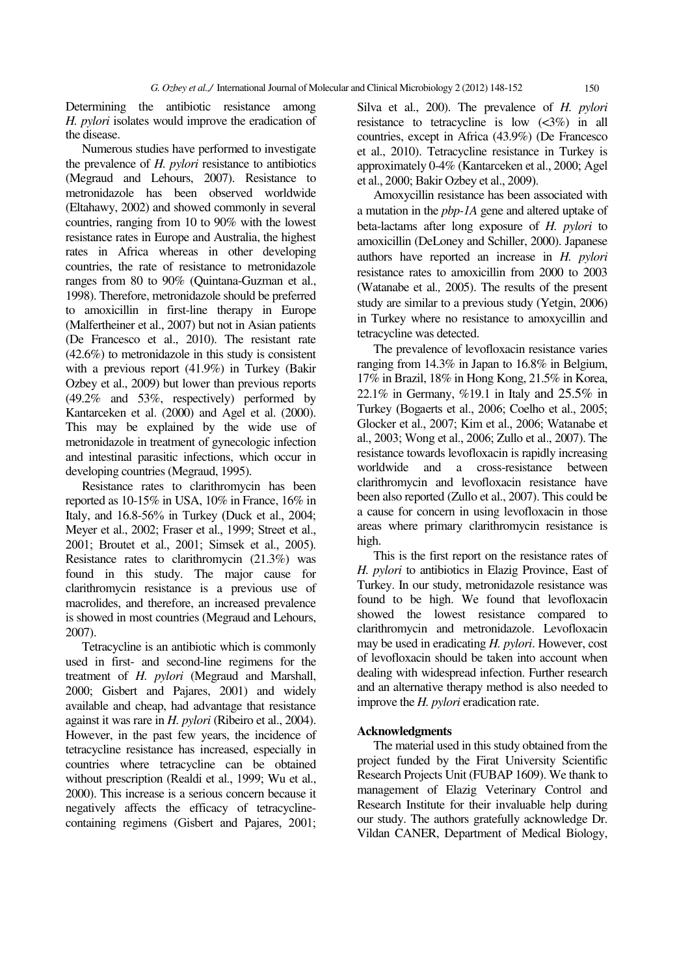Determining the antibiotic resistance among *H. pylori* isolates would improve the eradication of the disease.

Numerous studies have performed to investigate the prevalence of *H. pylori* resistance to antibiotics (Megraud and Lehours, 2007). Resistance to metronidazole has been observed worldwide (Eltahawy, 2002) and showed commonly in several countries, ranging from 10 to 90% with the lowest resistance rates in Europe and Australia, the highest rates in Africa whereas in other developing countries, the rate of resistance to metronidazole ranges from 80 to 90% (Quintana-Guzman et al., 1998). Therefore, metronidazole should be preferred to amoxicillin in first-line therapy in Europe (Malfertheiner et al., 2007) but not in Asian patients (De Francesco et al., 2010). The resistant rate (42.6%) to metronidazole in this study is consistent with a previous report (41.9%) in Turkey (Bakir Ozbey et al., 2009) but lower than previous reports (49.2% and 53%, respectively) performed by Kantarceken et al. (2000) and Agel et al. (2000). This may be explained by the wide use of metronidazole in treatment of gynecologic infection and intestinal parasitic infections, which occur in developing countries (Megraud, 1995).

Resistance rates to clarithromycin has been reported as 10-15% in USA, 10% in France, 16% in Italy, and  $16.8-56\%$  in Turkey (Duck et al., 2004; Meyer et al., 2002; Fraser et al., 1999; Street et al., 2001; Broutet et al., 2001; Simsek et al., 2005). Resistance rates to clarithromycin (21.3%) was found in this study. The major cause for clarithromycin resistance is a previous use of macrolides, and therefore, an increased prevalence is showed in most countries (Megraud and Lehours, 2007).

Tetracycline is an antibiotic which is commonly used in first- and second-line regimens for the treatment of *H. pylori* (Megraud and Marshall, 2000; Gisbert and Pajares, 2001) and widely available and cheap, had advantage that resistance against it was rare in *H. pylori* (Ribeiro et al., 2004). However, in the past few years, the incidence of tetracycline resistance has increased, especially in countries where tetracycline can be obtained without prescription (Realdi et al., 1999; Wu et al., 2000). This increase is a serious concern because it negatively affects the efficacy of tetracyclinecontaining regimens (Gisbert and Pajares, 2001;

Silva et al., 200). The prevalence of *H. pylori* resistance to tetracycline is low  $\left(\langle 3\% \rangle \right)$  in all countries, except in Africa (43.9%) (De Francesco et al., 2010). Tetracycline resistance in Turkey is approximately 0-4% (Kantarceken et al., 2000; Agel et al., 2000; Bakir Ozbey et al., 2009).

Amoxycillin resistance has been associated with a mutation in the *pbp-1A* gene and altered uptake of beta-lactams after long exposure of *H. pylori* to amoxicillin (DeLoney and Schiller, 2000). Japanese authors have reported an increase in *H. pylori* resistance rates to amoxicillin from 2000 to 2003 (Watanabe et al*.,* 2005). The results of the present study are similar to a previous study (Yetgin, 2006) in Turkey where no resistance to amoxycillin and tetracycline was detected.

The prevalence of levofloxacin resistance varies ranging from 14.3% in Japan to 16.8% in Belgium, 17% in Brazil, 18% in Hong Kong, 21.5% in Korea, 22.1% in Germany, %19.1 in Italy and 25.5% in Turkey (Bogaerts et al., 2006; Coelho et al., 2005; Glocker et al., 2007; Kim et al., 2006; Watanabe et al., 2003; Wong et al., 2006; Zullo et al., 2007). The resistance towards levofloxacin is rapidly increasing worldwide and a cross-resistance between clarithromycin and levofloxacin resistance have been also reported (Zullo et al., 2007). This could be a cause for concern in using levofloxacin in those areas where primary clarithromycin resistance is high.

This is the first report on the resistance rates of *H. pylori* to antibiotics in Elazig Province, East of Turkey. In our study, metronidazole resistance was found to be high. We found that levofloxacin showed the lowest resistance compared to clarithromycin and metronidazole. Levofloxacin may be used in eradicating *H. pylori*. However, cost of levofloxacin should be taken into account when dealing with widespread infection. Further research and an alternative therapy method is also needed to improve the *H. pylori* eradication rate.

#### **Acknowledgments**

The material used in this study obtained from the project funded by the Firat University Scientific Research Projects Unit (FUBAP 1609). We thank to management of Elazig Veterinary Control and Research Institute for their invaluable help during our study. The authors gratefully acknowledge Dr. Vildan CANER, Department of Medical Biology,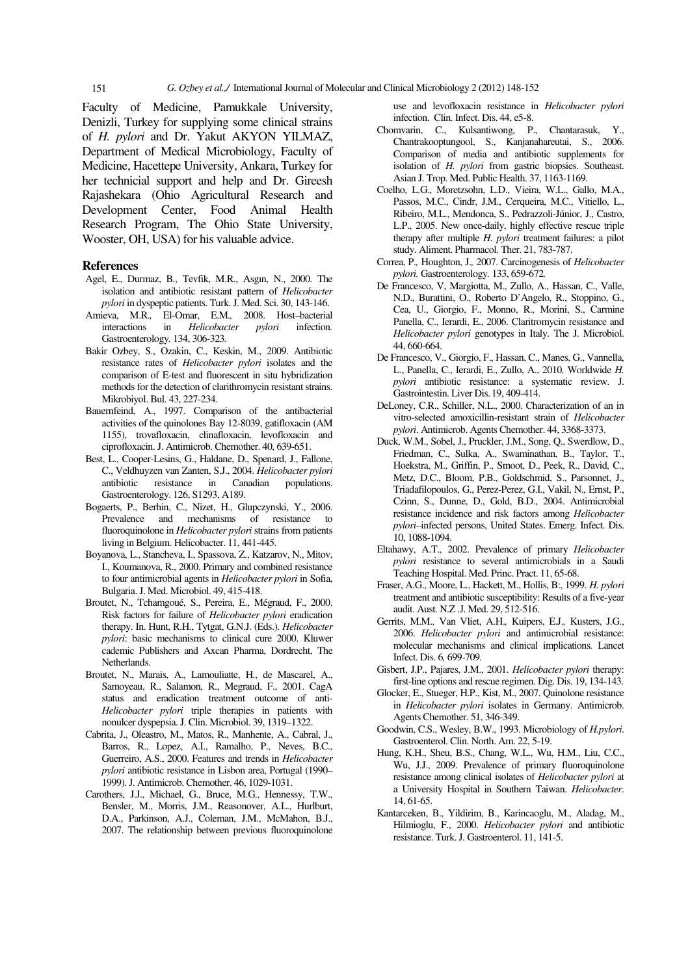Faculty of Medicine, Pamukkale University, Denizli, Turkey for supplying some clinical strains of *H. pylori* and Dr. Yakut AKYON YILMAZ, Department of Medical Microbiology, Faculty of Medicine, Hacettepe University, Ankara, Turkey for her technicial support and help and Dr. Gireesh Rajashekara (Ohio Agricultural Research and Development Center, Food Animal Health Research Program, The Ohio State University, Wooster, OH, USA) for his valuable advice.

#### **References**

- Agel, E., Durmaz, B., Tevfik, M.R., Asgın, N., 2000. The isolation and antibiotic resistant pattern of *Helicobacter pylori* in dyspeptic patients. Turk. J. Med. Sci. 30, 143-146.
- Amieva, M.R.*,* El-Omar, E.M*.,* 2008. Host–bacterial interactions in *Helicobacter pylori* infection*.*  Gastroenterology*.* 134, 306*-*323*.*
- Bakir Ozbey, S., Ozakin, C., Keskin, M., 2009. Antibiotic resistance rates of *Helicobacter pylori* isolates and the comparison of E-test and fluorescent in situ hybridization methods for the detection of clarithromycin resistant strains. Mikrobiyol. Bul. 43, 227-234.
- Bauernfeind, A., 1997. Comparison of the antibacterial activities of the quinolones Bay 12-8039, gatifloxacin (AM 1155), trovafloxacin, clinafloxacin, levofloxacin and ciprofloxacin. J. Antimicrob. Chemother. 40, 639-651.
- Best, L., Cooper-Lesins, G., Haldane, D., Spenard, J., Fallone, C., Veldhuyzen van Zanten, S.J., 2004. *Helicobacter pylori*  antibiotic resistance in Canadian populations. Gastroenterology. 126, S1293, A189.
- Bogaerts, P., Berhin, C., Nizet, H., Glupczynski, Y., 2006. Prevalence and mechanisms of resistance fluoroquinolone in *Helicobacter pylori* strains from patients living in Belgium. Helicobacter. 11, 441-445.
- Boyanova, L., Stancheva, I., Spassova, Z., Katzarov, N., Mitov, I., Koumanova, R., 2000. Primary and combined resistance to four antimicrobial agents in *Helicobacter pylori* in Sofia, Bulgaria. J. Med. Microbiol. 49, 415-418.
- Broutet, N., Tchamgoué, S., Pereira, E., Mégraud, F., 2000. Risk factors for failure of *Helicobacter pylori* eradication therapy. In. Hunt, R.H., Tytgat, G.N.J. (Eds.). *Helicobacter pylori*: basic mechanisms to clinical cure 2000. Kluwer cademic Publishers and Axcan Pharma, Dordrecht, The Netherlands.
- Broutet, N., Marais, A., Lamouliatte, H., de Mascarel, A., Samoyeau, R., Salamon, R., Megraud, F., 2001. CagA status and eradication treatment outcome of anti-*Helicobacter pylori* triple therapies in patients with nonulcer dyspepsia. J. Clin. Microbiol. 39, 1319–1322.
- Cabrita, J., Oleastro, M., Matos, R., Manhente, A., Cabral, J., Barros, R., Lopez, A.I., Ramalho, P., Neves, B.C., Guerreiro, A.S., 2000. Features and trends in *Helicobacter pylori* antibiotic resistance in Lisbon area, Portugal (1990– 1999). J. Antimicrob. Chemother. 46, 1029-1031.
- Carothers, J.J., Michael, G., Bruce, M.G., Hennessy, T.W., Bensler, M., Morris, J.M., Reasonover, A.L., Hurlburt, D.A., Parkinson, A.J., Coleman, J.M., McMahon, B.J., 2007. The relationship between previous fluoroquinolone

use and levofloxacin resistance in *Helicobacter pylori* infection. Clin. Infect. Dis. 44, e5-8.

- Chomvarin, C., Kulsantiwong, P., Chantarasuk, Y., Chantrakooptungool, S., Kanjanahareutai, S., 2006. Comparison of media and antibiotic supplements for isolation of *H. pylori* from gastric biopsies. Southeast. Asian J. Trop. Med. Public Health. 37, 1163-1169.
- Coelho, L.G., Moretzsohn, L.D., Vieira, W.L., Gallo, M.A., Passos, M.C., Cindr, J.M., Cerqueira, M.C., Vitiello, L., Ribeiro, M.L., Mendonca, S., Pedrazzoli-Júnior, J., Castro, L.P., 2005. New once-daily, highly effective rescue triple therapy after multiple *H. pylori* treatment failures: a pilot study. Aliment. Pharmacol. Ther. 21, 783-787.
- Correa, P.*,* Houghton, J.*,* 2007. Carcinogenesis of *Helicobacter pylori.* Gastroenterology*.* 133, 659-672*.*
- De Francesco, V, Margiotta, M., Zullo, A., Hassan, C., Valle, N.D., Burattini, O., Roberto D'Angelo, R., Stoppino, G., Cea, U., Giorgio, F., Monno, R., Morini, S., Carmine Panella, C., Ierardi, E., 2006. Claritromycin resistance and *Helicobacter pylori* genotypes in Italy. The J. Microbiol. 44, 660-664.
- De Francesco, V., Giorgio, F., Hassan, C., Manes, G., Vannella, L., Panella, C., Ierardi, E., Zullo, A., 2010. Worldwide *H. pylori* antibiotic resistance: a systematic review. J. Gastrointestin. Liver Dis.19, 409-414.
- DeLoney, C.R., Schiller, N.L., 2000. Characterization of an in vitro-selected amoxicillin-resistant strain of *Helicobacter pylori*. Antimicrob. Agents Chemother. 44, 3368-3373.
- Duck, W.M., Sobel, J., Pruckler, J.M., Song, Q., Swerdlow, D., Friedman, C., Sulka, A., Swaminathan, B., Taylor, T., Hoekstra, M., Griffin, P., Smoot, D., Peek, R., David, C., Metz, D.C., Bloom, P.B., Goldschmid, S., Parsonnet, J., Triadafilopoulos, G., Perez-Perez, G.I., Vakil, N., Ernst, P., Czinn, S., Dunne, D., Gold, B.D., 2004. Antimicrobial resistance incidence and risk factors among *Helicobacter pylori*–infected persons, United States. Emerg. Infect. Dis. 10, 1088-1094.
- Eltahawy, A.T., 2002. Prevalence of primary *Helicobacter pylori* resistance to several antimicrobials in a Saudi Teaching Hospital. Med. Princ. Pract. 11, 65-68.
- Fraser, A.G., Moore, L., Hackett, M., Hollis, B:, 1999. *H. pylori*  treatment and antibiotic susceptibility: Results of a five-year audit. Aust. N.Z .J. Med. 29, 512-516.
- Gerrits, M.M.*,* Van Vliet, A.H.*,* Kuipers, E.J.*,* Kusters, J.G*.*, 2006. *Helicobacter pylori* and antimicrobial resistance: molecular mechanisms and clinical implications*.* Lancet Infect. Dis. 6*,* 699*-*709*.*
- Gisbert, J.P., Pajares, J.M., 2001. *Helicobacter pylori* therapy: first-line options and rescue regimen. Dig. Dis. 19, 134-143.
- Glocker, E., Stueger, H.P., Kist, M., 2007. Quinolone resistance in *Helicobacter pylori* isolates in Germany. Antimicrob. Agents Chemother. 51, 346-349.
- Goodwin, C.S., Wesley, B.W., 1993. Microbiology of *H.pylori*. Gastroenterol. Clin. North. Am. 22, 5-19.
- Hung, K.H., Sheu, B.S., Chang, W.L., Wu, H.M., Liu, C.C., Wu, J.J., 2009. Prevalence of primary fluoroquinolone resistance among clinical isolates of *Helicobacter pylori* at a University Hospital in Southern Taiwan. *Helicobacter*. 14, 61-65.
- Kantarceken, B., Yildirim, B., Karincaoglu, M., Aladag, M., Hilmioglu, F., 2000. *Helicobacter pylori* and antibiotic resistance. Turk. J. Gastroenterol. 11, 141-5.